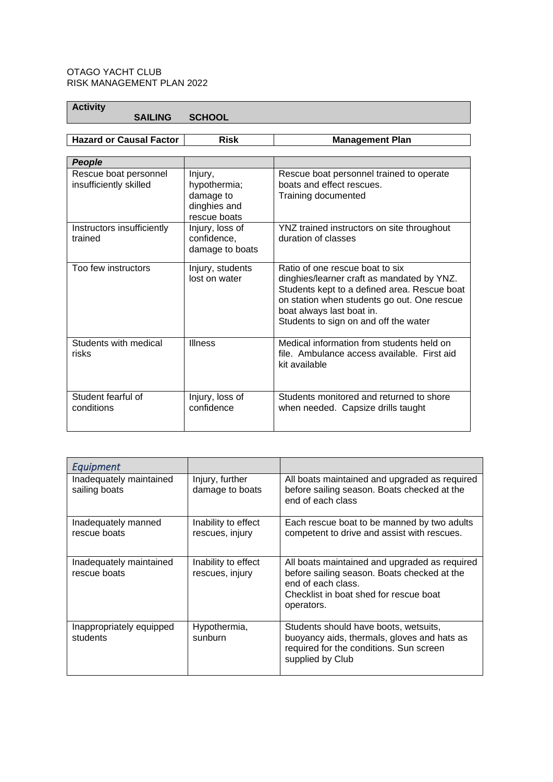## OTAGO YACHT CLUB RISK MANAGEMENT PLAN 2022

**Activity** 

 **SAILING SCHOOL**

**Hazard or Causal Factor Risk Management Plan**

| People                                          |                                                                      |                                                                                                                                                                                                                                                    |
|-------------------------------------------------|----------------------------------------------------------------------|----------------------------------------------------------------------------------------------------------------------------------------------------------------------------------------------------------------------------------------------------|
| Rescue boat personnel<br>insufficiently skilled | Injury,<br>hypothermia;<br>damage to<br>dinghies and<br>rescue boats | Rescue boat personnel trained to operate<br>boats and effect rescues.<br>Training documented                                                                                                                                                       |
| Instructors insufficiently<br>trained           | Injury, loss of<br>confidence,<br>damage to boats                    | YNZ trained instructors on site throughout<br>duration of classes                                                                                                                                                                                  |
| Too few instructors                             | Injury, students<br>lost on water                                    | Ratio of one rescue boat to six<br>dinghies/learner craft as mandated by YNZ.<br>Students kept to a defined area. Rescue boat<br>on station when students go out. One rescue<br>boat always last boat in.<br>Students to sign on and off the water |
| Students with medical<br>risks                  | <b>Illness</b>                                                       | Medical information from students held on<br>file. Ambulance access available. First aid<br>kit available                                                                                                                                          |
| Student fearful of<br>conditions                | Injury, loss of<br>confidence                                        | Students monitored and returned to shore<br>when needed. Capsize drills taught                                                                                                                                                                     |

| Equipment                                |                                        |                                                                                                                                                                            |
|------------------------------------------|----------------------------------------|----------------------------------------------------------------------------------------------------------------------------------------------------------------------------|
| Inadequately maintained<br>sailing boats | Injury, further<br>damage to boats     | All boats maintained and upgraded as required<br>before sailing season. Boats checked at the<br>end of each class                                                          |
| Inadequately manned<br>rescue boats      | Inability to effect<br>rescues, injury | Each rescue boat to be manned by two adults<br>competent to drive and assist with rescues.                                                                                 |
| Inadequately maintained<br>rescue boats  | Inability to effect<br>rescues, injury | All boats maintained and upgraded as required<br>before sailing season. Boats checked at the<br>end of each class.<br>Checklist in boat shed for rescue boat<br>operators. |
| Inappropriately equipped<br>students     | Hypothermia,<br>sunburn                | Students should have boots, wetsuits,<br>buoyancy aids, thermals, gloves and hats as<br>required for the conditions. Sun screen<br>supplied by Club                        |